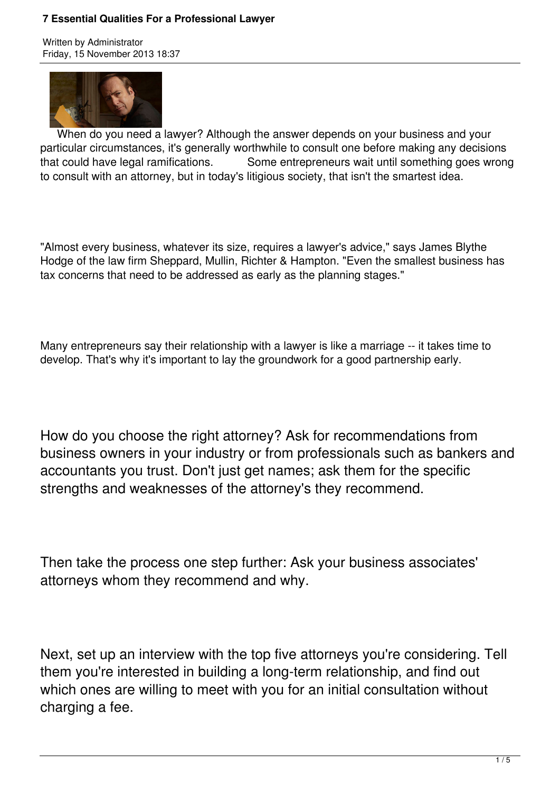#### **7 Essential Qualities For a Professional Lawyer**

Written by Administrator Friday, 15 November 2013 18:37



 When do you need a lawyer? Although the answer depends on your business and your particular circumstances, it's generally worthwhile to consult one before making any decisions that could have legal ramifications. Some entrepreneurs wait until something goes wrong to consult with an attorney, but in today's litigious society, that isn't the smartest idea.

"Almost every business, whatever its size, requires a lawyer's advice," says James Blythe Hodge of the law firm Sheppard, Mullin, Richter & Hampton. "Even the smallest business has tax concerns that need to be addressed as early as the planning stages."

Many entrepreneurs say their relationship with a lawyer is like a marriage -- it takes time to develop. That's why it's important to lay the groundwork for a good partnership early.

How do you choose the right attorney? Ask for recommendations from business owners in your industry or from professionals such as bankers and accountants you trust. Don't just get names; ask them for the specific strengths and weaknesses of the attorney's they recommend.

Then take the process one step further: Ask your business associates' attorneys whom they recommend and why.

Next, set up an interview with the top five attorneys you're considering. Tell them you're interested in building a long-term relationship, and find out which ones are willing to meet with you for an initial consultation without charging a fee.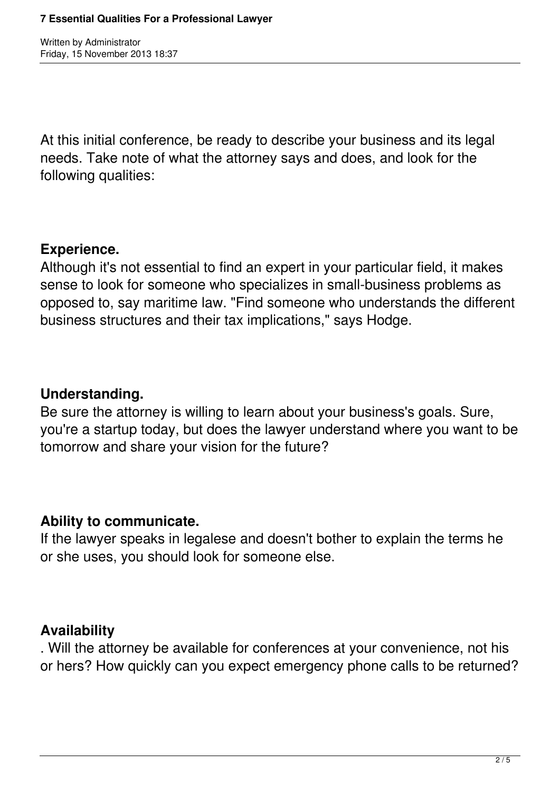Written by Administrator Friday, 15 November 2013 18:37

At this initial conference, be ready to describe your business and its legal needs. Take note of what the attorney says and does, and look for the following qualities:

## **Experience.**

Although it's not essential to find an expert in your particular field, it makes sense to look for someone who specializes in small-business problems as opposed to, say maritime law. "Find someone who understands the different business structures and their tax implications," says Hodge.

## **Understanding.**

Be sure the attorney is willing to learn about your business's goals. Sure, you're a startup today, but does the lawyer understand where you want to be tomorrow and share your vision for the future?

### **Ability to communicate.**

If the lawyer speaks in legalese and doesn't bother to explain the terms he or she uses, you should look for someone else.

### **Availability**

. Will the attorney be available for conferences at your convenience, not his or hers? How quickly can you expect emergency phone calls to be returned?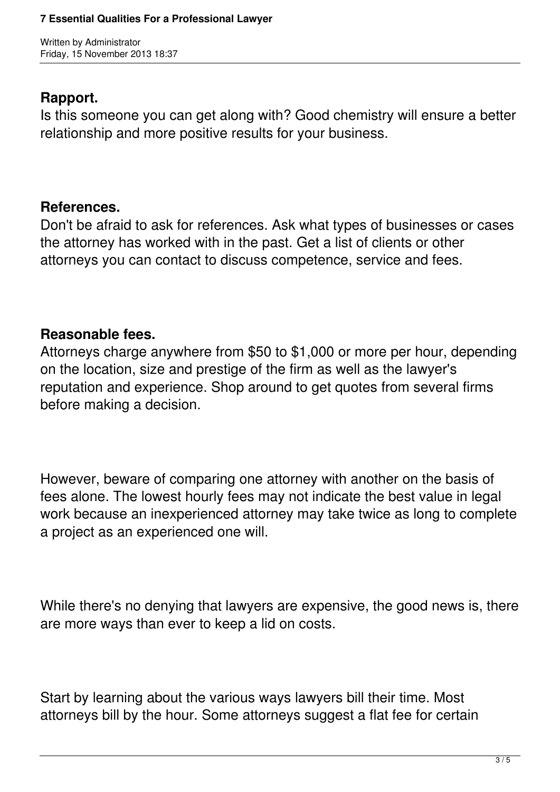Written by Administrator Friday, 15 November 2013 18:37

## **Rapport.**

Is this someone you can get along with? Good chemistry will ensure a better relationship and more positive results for your business.

# **References.**

Don't be afraid to ask for references. Ask what types of businesses or cases the attorney has worked with in the past. Get a list of clients or other attorneys you can contact to discuss competence, service and fees.

# **Reasonable fees.**

Attorneys charge anywhere from \$50 to \$1,000 or more per hour, depending on the location, size and prestige of the firm as well as the lawyer's reputation and experience. Shop around to get quotes from several firms before making a decision.

However, beware of comparing one attorney with another on the basis of fees alone. The lowest hourly fees may not indicate the best value in legal work because an inexperienced attorney may take twice as long to complete a project as an experienced one will.

While there's no denying that lawyers are expensive, the good news is, there are more ways than ever to keep a lid on costs.

Start by learning about the various ways lawyers bill their time. Most attorneys bill by the hour. Some attorneys suggest a flat fee for certain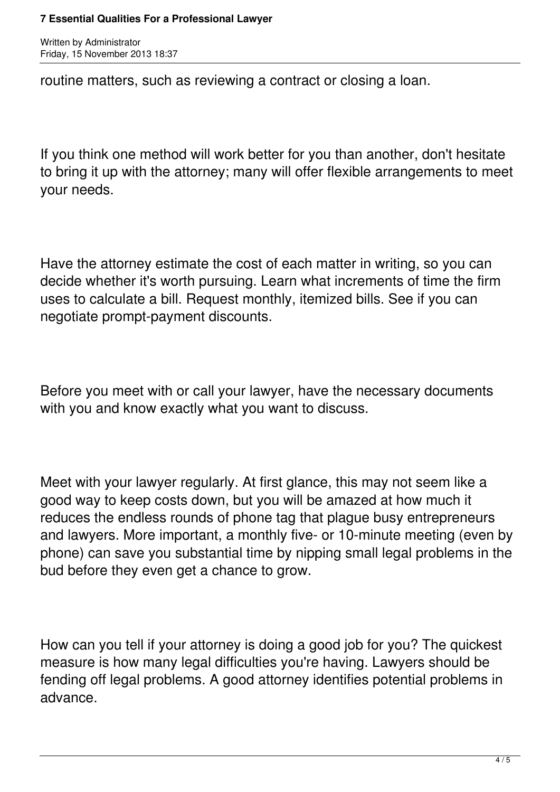#### **7 Essential Qualities For a Professional Lawyer**

Written by Administrator Friday, 15 November 2013 18:37

routine matters, such as reviewing a contract or closing a loan.

If you think one method will work better for you than another, don't hesitate to bring it up with the attorney; many will offer flexible arrangements to meet your needs.

Have the attorney estimate the cost of each matter in writing, so you can decide whether it's worth pursuing. Learn what increments of time the firm uses to calculate a bill. Request monthly, itemized bills. See if you can negotiate prompt-payment discounts.

Before you meet with or call your lawyer, have the necessary documents with you and know exactly what you want to discuss.

Meet with your lawyer regularly. At first glance, this may not seem like a good way to keep costs down, but you will be amazed at how much it reduces the endless rounds of phone tag that plague busy entrepreneurs and lawyers. More important, a monthly five- or 10-minute meeting (even by phone) can save you substantial time by nipping small legal problems in the bud before they even get a chance to grow.

How can you tell if your attorney is doing a good job for you? The quickest measure is how many legal difficulties you're having. Lawyers should be fending off legal problems. A good attorney identifies potential problems in advance.